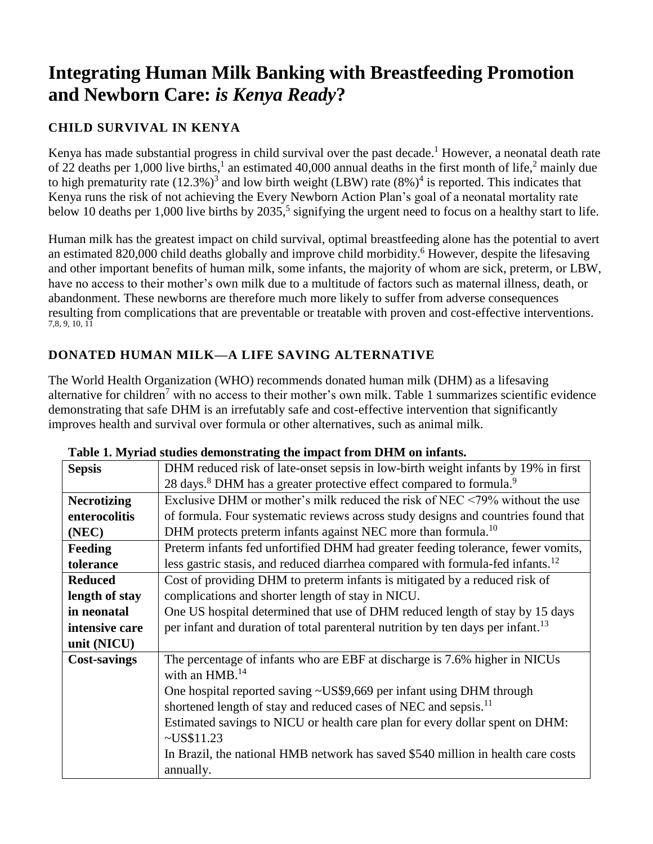# **Integrating Human Milk Banking with Breastfeeding Promotion and Newborn Care:** *is Kenya Ready***?**

# **CHILD SURVIVAL IN KENYA**

Kenya has made substantial progress in child survival over the past decade.<sup>1</sup> However, a neonatal death rate of 22 deaths per 1,000 live births, 1 an estimated 40,000 annual deaths in the first month of life, <sup>2</sup> mainly due to high prematurity rate  $(12.3\%)^3$  and low birth weight (LBW) rate  $(8\%)^4$  is reported. This indicates that Kenya runs the risk of not achieving the Every Newborn Action Plan's goal of a neonatal mortality rate below 10 deaths per 1,000 live births by 2035,<sup>5</sup> signifying the urgent need to focus on a healthy start to life.

Human milk has the greatest impact on child survival, optimal breastfeeding alone has the potential to avert an estimated 820,000 child deaths globally and improve child morbidity.<sup>6</sup> However, despite the lifesaving and other important benefits of human milk, some infants, the majority of whom are sick, preterm, or LBW, have no access to their mother's own milk due to a multitude of factors such as maternal illness, death, or abandonment. These newborns are therefore much more likely to suffer from adverse consequences resulting from complications that are preventable or treatable with proven and cost-effective interventions. 7,8, 9, 10, 11

## **DONATED HUMAN MILK—A LIFE SAVING ALTERNATIVE**

The World Health Organization (WHO) recommends donated human milk (DHM) as a lifesaving alternative for children<sup>7</sup> with no access to their mother's own milk. Table 1 summarizes scientific evidence demonstrating that safe DHM is an irrefutably safe and cost-effective intervention that significantly improves health and survival over formula or other alternatives, such as animal milk.

| <b>Sepsis</b>       | DHM reduced risk of late-onset sepsis in low-birth weight infants by 19% in first           |
|---------------------|---------------------------------------------------------------------------------------------|
|                     | 28 days. <sup>8</sup> DHM has a greater protective effect compared to formula. <sup>9</sup> |
| <b>Necrotizing</b>  | Exclusive DHM or mother's milk reduced the risk of NEC $\leq$ 79% without the use           |
| enterocolitis       | of formula. Four systematic reviews across study designs and countries found that           |
| (NEC)               | DHM protects preterm infants against NEC more than formula. <sup>10</sup>                   |
| <b>Feeding</b>      | Preterm infants fed unfortified DHM had greater feeding tolerance, fewer vomits,            |
| tolerance           | less gastric stasis, and reduced diarrhea compared with formula-fed infants. <sup>12</sup>  |
| <b>Reduced</b>      | Cost of providing DHM to preterm infants is mitigated by a reduced risk of                  |
| length of stay      | complications and shorter length of stay in NICU.                                           |
| in neonatal         | One US hospital determined that use of DHM reduced length of stay by 15 days                |
| intensive care      | per infant and duration of total parenteral nutrition by ten days per infant. <sup>13</sup> |
| unit (NICU)         |                                                                                             |
| <b>Cost-savings</b> | The percentage of infants who are EBF at discharge is 7.6% higher in NICUs                  |
|                     | with an $HMB.14$                                                                            |
|                     | One hospital reported saving ~US\$9,669 per infant using DHM through                        |
|                     | shortened length of stay and reduced cases of NEC and sepsis. <sup>11</sup>                 |
|                     | Estimated savings to NICU or health care plan for every dollar spent on DHM:                |
|                     | $\sim USS11.23$                                                                             |
|                     | In Brazil, the national HMB network has saved \$540 million in health care costs            |
|                     | annually.                                                                                   |

#### **Table 1. Myriad studies demonstrating the impact from DHM on infants.**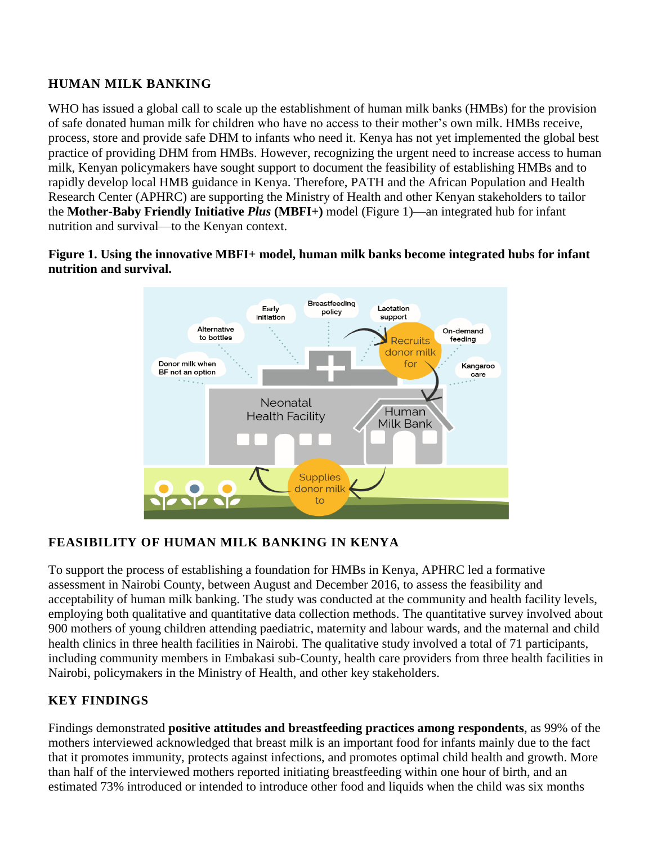## **HUMAN MILK BANKING**

WHO has issued a global call to scale up the establishment of human milk banks (HMBs) for the provision of safe donated human milk for children who have no access to their mother's own milk. HMBs receive, process, store and provide safe DHM to infants who need it. Kenya has not yet implemented the global best practice of providing DHM from HMBs. However, recognizing the urgent need to increase access to human milk, Kenyan policymakers have sought support to document the feasibility of establishing HMBs and to rapidly develop local HMB guidance in Kenya. Therefore, PATH and the African Population and Health Research Center (APHRC) are supporting the Ministry of Health and other Kenyan stakeholders to tailor the **Mother-Baby Friendly Initiative** *Plus* **(MBFI+)** model (Figure 1)—an integrated hub for infant nutrition and survival—to the Kenyan context.

**Figure 1. Using the innovative MBFI+ model, human milk banks become integrated hubs for infant nutrition and survival.** 



# **FEASIBILITY OF HUMAN MILK BANKING IN KENYA**

To support the process of establishing a foundation for HMBs in Kenya, APHRC led a formative assessment in Nairobi County, between August and December 2016, to assess the feasibility and acceptability of human milk banking. The study was conducted at the community and health facility levels, employing both qualitative and quantitative data collection methods. The quantitative survey involved about 900 mothers of young children attending paediatric, maternity and labour wards, and the maternal and child health clinics in three health facilities in Nairobi. The qualitative study involved a total of 71 participants, including community members in Embakasi sub-County, health care providers from three health facilities in Nairobi, policymakers in the Ministry of Health, and other key stakeholders.

# **KEY FINDINGS**

Findings demonstrated **positive attitudes and breastfeeding practices among respondents**, as 99% of the mothers interviewed acknowledged that breast milk is an important food for infants mainly due to the fact that it promotes immunity, protects against infections, and promotes optimal child health and growth. More than half of the interviewed mothers reported initiating breastfeeding within one hour of birth, and an estimated 73% introduced or intended to introduce other food and liquids when the child was six months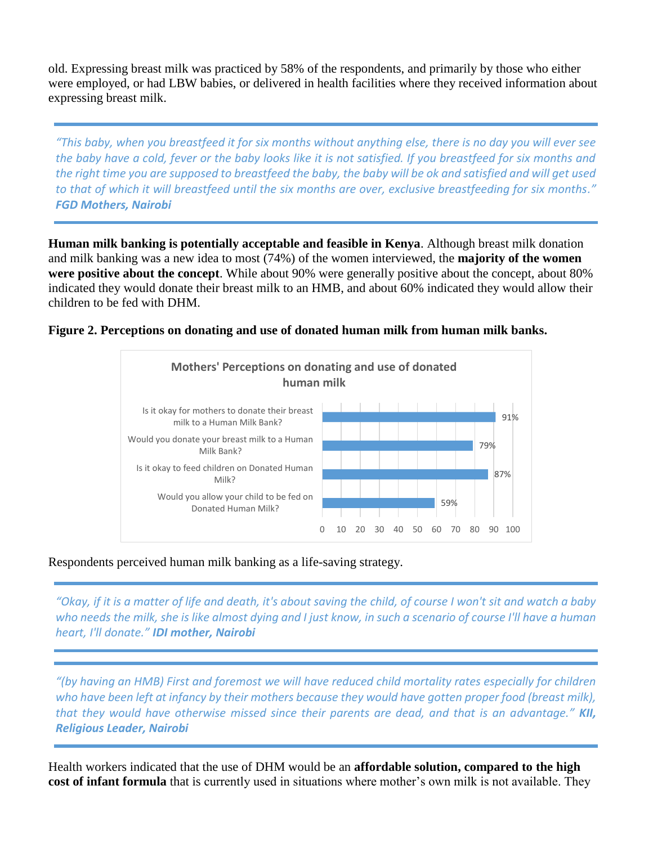old. Expressing breast milk was practiced by 58% of the respondents, and primarily by those who either were employed, or had LBW babies, or delivered in health facilities where they received information about expressing breast milk.

*"This baby, when you breastfeed it for six months without anything else, there is no day you will ever see the baby have a cold, fever or the baby looks like it is not satisfied. If you breastfeed for six months and the right time you are supposed to breastfeed the baby, the baby will be ok and satisfied and will get used to that of which it will breastfeed until the six months are over, exclusive breastfeeding for six months." FGD Mothers, Nairobi*

**Human milk banking is potentially acceptable and feasible in Kenya**. Although breast milk donation and milk banking was a new idea to most (74%) of the women interviewed, the **majority of the women were positive about the concept**. While about 90% were generally positive about the concept, about 80% indicated they would donate their breast milk to an HMB, and about 60% indicated they would allow their children to be fed with DHM.

#### **Figure 2. Perceptions on donating and use of donated human milk from human milk banks.**



#### Respondents perceived human milk banking as a life-saving strategy.

*"Okay, if it is a matter of life and death, it's about saving the child, of course I won't sit and watch a baby who needs the milk, she is like almost dying and I just know, in such a scenario of course I'll have a human heart, I'll donate." IDI mother, Nairobi*

*"(by having an HMB) First and foremost we will have reduced child mortality rates especially for children*  who have been left at infancy by their mothers because they would have gotten proper food (breast milk), *that they would have otherwise missed since their parents are dead, and that is an advantage." KII, Religious Leader, Nairobi*

Health workers indicated that the use of DHM would be an **affordable solution, compared to the high cost of infant formula** that is currently used in situations where mother's own milk is not available. They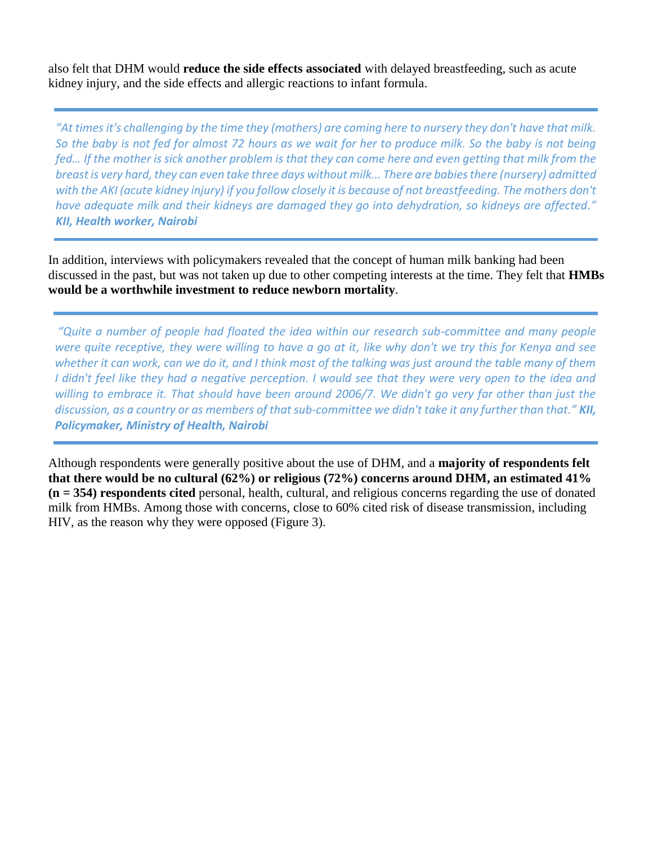also felt that DHM would **reduce the side effects associated** with delayed breastfeeding, such as acute kidney injury, and the side effects and allergic reactions to infant formula.

*"At times it's challenging by the time they (mothers) are coming here to nursery they don't have that milk. So the baby is not fed for almost 72 hours as we wait for her to produce milk. So the baby is not being fed… If the mother is sick another problem is that they can come here and even getting that milk from the breast is very hard, they can even take three days without milk... There are babies there (nursery) admitted*  with the AKI (acute kidney injury) if you follow closely it is because of not breastfeeding. The mothers don't *have adequate milk and their kidneys are damaged they go into dehydration, so kidneys are affected." KII, Health worker, Nairobi*

In addition, interviews with policymakers revealed that the concept of human milk banking had been discussed in the past, but was not taken up due to other competing interests at the time. They felt that **HMBs would be a worthwhile investment to reduce newborn mortality**.

*"Quite a number of people had floated the idea within our research sub-committee and many people were quite receptive, they were willing to have a go at it, like why don't we try this for Kenya and see whether it can work, can we do it, and I think most of the talking was just around the table many of them I didn't feel like they had a negative perception. I would see that they were very open to the idea and willing to embrace it. That should have been around 2006/7. We didn't go very far other than just the discussion, as a country or as members of that sub-committee we didn't take it any further than that." KII, Policymaker, Ministry of Health, Nairobi*

Although respondents were generally positive about the use of DHM, and a **majority of respondents felt that there would be no cultural (62%) or religious (72%) concerns around DHM, an estimated 41% (n = 354) respondents cited** personal, health, cultural, and religious concerns regarding the use of donated milk from HMBs. Among those with concerns, close to 60% cited risk of disease transmission, including HIV, as the reason why they were opposed (Figure 3).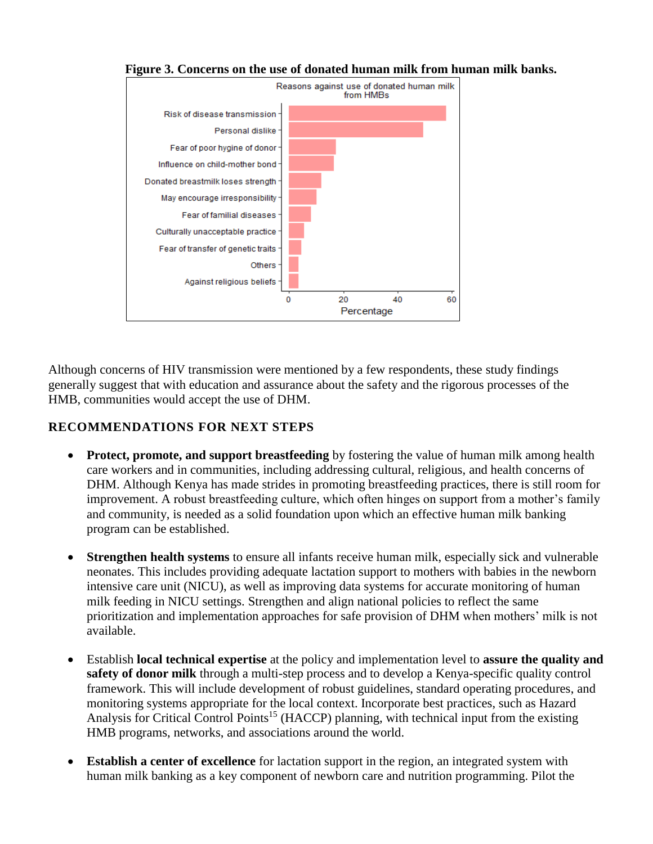

**Figure 3. Concerns on the use of donated human milk from human milk banks.**

Although concerns of HIV transmission were mentioned by a few respondents, these study findings generally suggest that with education and assurance about the safety and the rigorous processes of the HMB, communities would accept the use of DHM.

## **RECOMMENDATIONS FOR NEXT STEPS**

- **Protect, promote, and support breastfeeding** by fostering the value of human milk among health care workers and in communities, including addressing cultural, religious, and health concerns of DHM. Although Kenya has made strides in promoting breastfeeding practices, there is still room for improvement. A robust breastfeeding culture, which often hinges on support from a mother's family and community, is needed as a solid foundation upon which an effective human milk banking program can be established.
- **Strengthen health systems** to ensure all infants receive human milk, especially sick and vulnerable neonates. This includes providing adequate lactation support to mothers with babies in the newborn intensive care unit (NICU), as well as improving data systems for accurate monitoring of human milk feeding in NICU settings. Strengthen and align national policies to reflect the same prioritization and implementation approaches for safe provision of DHM when mothers' milk is not available.
- Establish **local technical expertise** at the policy and implementation level to **assure the quality and safety of donor milk** through a multi-step process and to develop a Kenya-specific quality control framework. This will include development of robust guidelines, standard operating procedures, and monitoring systems appropriate for the local context. Incorporate best practices, such as Hazard Analysis for Critical Control Points<sup>15</sup> (HACCP) planning, with technical input from the existing HMB programs, networks, and associations around the world.
- **Establish a center of excellence** for lactation support in the region, an integrated system with human milk banking as a key component of newborn care and nutrition programming. Pilot the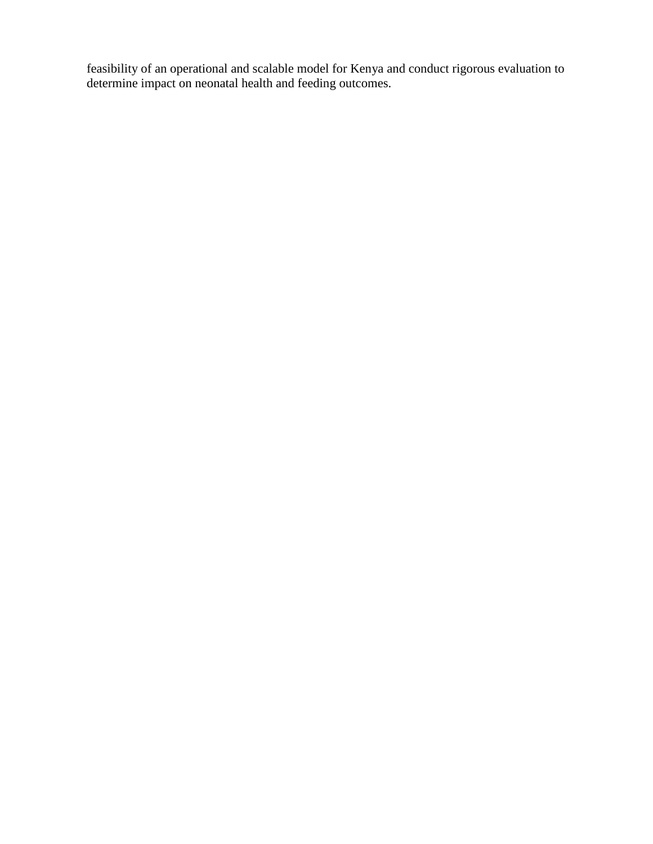feasibility of an operational and scalable model for Kenya and conduct rigorous evaluation to determine impact on neonatal health and feeding outcomes.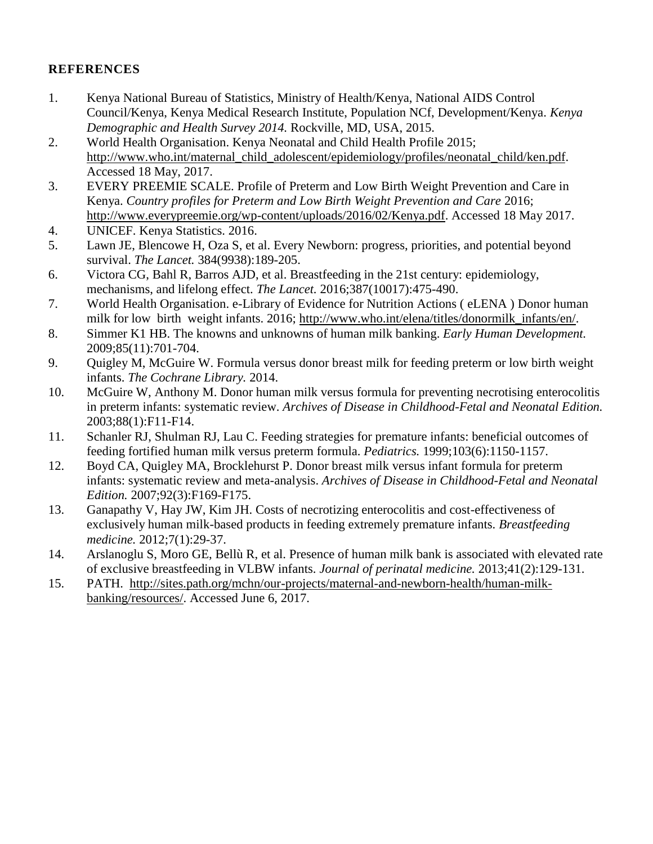## **REFERENCES**

- 1. Kenya National Bureau of Statistics, Ministry of Health/Kenya, National AIDS Control Council/Kenya, Kenya Medical Research Institute, Population NCf, Development/Kenya. *Kenya Demographic and Health Survey 2014.* Rockville, MD, USA, 2015.
- 2. World Health Organisation. Kenya Neonatal and Child Health Profile 2015; [http://www.who.int/maternal\\_child\\_adolescent/epidemiology/profiles/neonatal\\_child/ken.pdf.](http://www.who.int/maternal_child_adolescent/epidemiology/profiles/neonatal_child/ken.pdf) Accessed 18 May, 2017.
- 3. EVERY PREEMIE SCALE. Profile of Preterm and Low Birth Weight Prevention and Care in Kenya. *Country profiles for Preterm and Low Birth Weight Prevention and Care* 2016; [http://www.everypreemie.org/wp-content/uploads/2016/02/Kenya.pdf.](http://www.everypreemie.org/wp-content/uploads/2016/02/Kenya.pdf) Accessed 18 May 2017.
- 4. UNICEF. Kenya Statistics. 2016.
- 5. Lawn JE, Blencowe H, Oza S, et al. Every Newborn: progress, priorities, and potential beyond survival. *The Lancet.* 384(9938):189-205.
- 6. Victora CG, Bahl R, Barros AJD, et al. Breastfeeding in the 21st century: epidemiology, mechanisms, and lifelong effect. *The Lancet.* 2016;387(10017):475-490.
- 7. World Health Organisation. e-Library of Evidence for Nutrition Actions ( eLENA ) Donor human milk for low birth weight infants. 2016; [http://www.who.int/elena/titles/donormilk\\_infants/en/.](http://www.who.int/elena/titles/donormilk_infants/en/)
- 8. Simmer K1 HB. The knowns and unknowns of human milk banking. *Early Human Development.* 2009;85(11):701-704.
- 9. Quigley M, McGuire W. Formula versus donor breast milk for feeding preterm or low birth weight infants. *The Cochrane Library.* 2014.
- 10. McGuire W, Anthony M. Donor human milk versus formula for preventing necrotising enterocolitis in preterm infants: systematic review. *Archives of Disease in Childhood-Fetal and Neonatal Edition.*  2003;88(1):F11-F14.
- 11. Schanler RJ, Shulman RJ, Lau C. Feeding strategies for premature infants: beneficial outcomes of feeding fortified human milk versus preterm formula. *Pediatrics.* 1999;103(6):1150-1157.
- 12. Boyd CA, Quigley MA, Brocklehurst P. Donor breast milk versus infant formula for preterm infants: systematic review and meta-analysis. *Archives of Disease in Childhood-Fetal and Neonatal Edition.* 2007;92(3):F169-F175.
- 13. Ganapathy V, Hay JW, Kim JH. Costs of necrotizing enterocolitis and cost-effectiveness of exclusively human milk-based products in feeding extremely premature infants. *Breastfeeding medicine.* 2012;7(1):29-37.
- 14. Arslanoglu S, Moro GE, Bellù R, et al. Presence of human milk bank is associated with elevated rate of exclusive breastfeeding in VLBW infants. *Journal of perinatal medicine.* 2013;41(2):129-131.
- 15. PATH. [http://sites.path.org/mchn/our-projects/maternal-and-newborn-health/human-milk](http://sites.path.org/mchn/our-projects/maternal-and-newborn-health/human-milk-banking/resources/)[banking/resources/.](http://sites.path.org/mchn/our-projects/maternal-and-newborn-health/human-milk-banking/resources/) Accessed June 6, 2017.